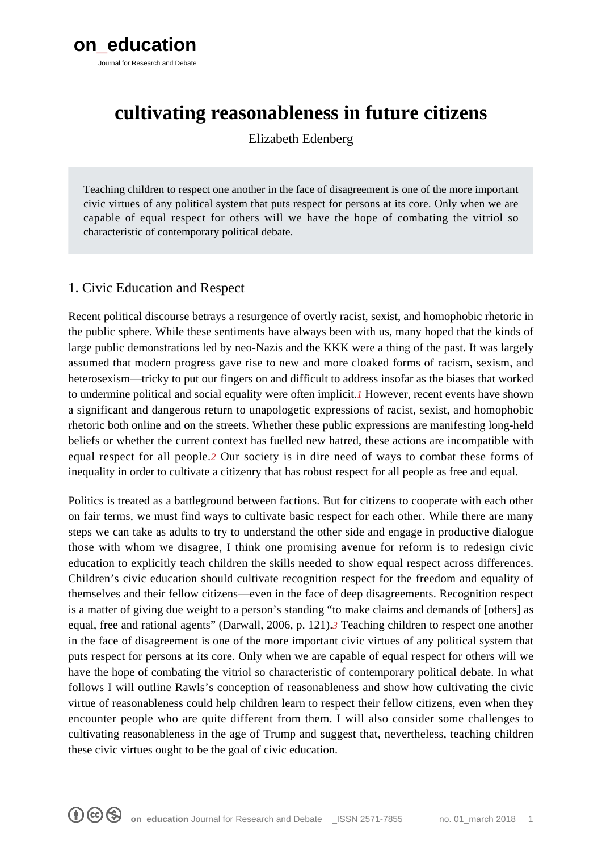

# **cultivating reasonableness in future citizens**

Elizabeth Edenberg

Teaching children to respect one another in the face of disagreement is one of the more important civic virtues of any political system that puts respect for persons at its core. Only when we are capable of equal respect for others will we have the hope of combating the vitriol so characteristic of contemporary political debate.

### 1. Civic Education and Respect

Recent political discourse betrays a resurgence of overtly racist, sexist, and homophobic rhetoric in the public sphere. While these sentiments have always been with us, many hoped that the kinds of large public demonstrations led by neo-Nazis and the KKK were a thing of the past. It was largely assumed that modern progress gave rise to new and more cloaked forms of racism, sexism, and heterosexism—tricky to put our fingers on and difficult to address insofar as the biases that worked to undermine political and social equality were often implicit.*[1](#page--1-0)* However, recent events have shown a significant and dangerous return to unapologetic expressions of racist, sexist, and homophobic rhetoric both online and on the streets. Whether these public expressions are manifesting long-held beliefs or whether the current context has fuelled new hatred, these actions are incompatible with equal respect for all people.*[2](#page--1-0)* Our society is in dire need of ways to combat these forms of inequality in order to cultivate a citizenry that has robust respect for all people as free and equal.

Politics is treated as a battleground between factions. But for citizens to cooperate with each other on fair terms, we must find ways to cultivate basic respect for each other. While there are many steps we can take as adults to try to understand the other side and engage in productive dialogue those with whom we disagree, I think one promising avenue for reform is to redesign civic education to explicitly teach children the skills needed to show equal respect across differences. Children's civic education should cultivate recognition respect for the freedom and equality of themselves and their fellow citizens—even in the face of deep disagreements. Recognition respect is a matter of giving due weight to a person's standing "to make claims and demands of [others] as equal, free and rational agents" (Darwall, 2006, p. 121).*[3](#page--1-0)* Teaching children to respect one another in the face of disagreement is one of the more important civic virtues of any political system that puts respect for persons at its core. Only when we are capable of equal respect for others will we have the hope of combating the vitriol so characteristic of contemporary political debate. In what follows I will outline Rawls's conception of reasonableness and show how cultivating the civic virtue of reasonableness could help children learn to respect their fellow citizens, even when they encounter people who are quite different from them. I will also consider some challenges to cultivating reasonableness in the age of Trump and suggest that, nevertheless, teaching children these civic virtues ought to be the goal of civic education.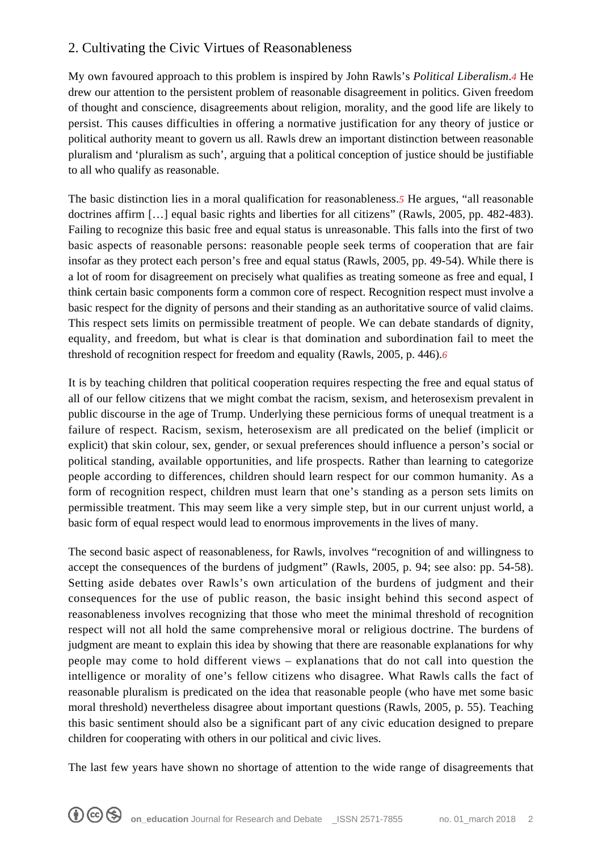## 2. Cultivating the Civic Virtues of Reasonableness

My own favoured approach to this problem is inspired by John Rawls's *Political Liberalism*.*[4](#page--1-0)* He drew our attention to the persistent problem of reasonable disagreement in politics. Given freedom of thought and conscience, disagreements about religion, morality, and the good life are likely to persist. This causes difficulties in offering a normative justification for any theory of justice or political authority meant to govern us all. Rawls drew an important distinction between reasonable pluralism and 'pluralism as such', arguing that a political conception of justice should be justifiable to all who qualify as reasonable.

The basic distinction lies in a moral qualification for reasonableness.*[5](#page--1-0)* He argues, "all reasonable doctrines affirm […] equal basic rights and liberties for all citizens" (Rawls, 2005, pp. 482-483). Failing to recognize this basic free and equal status is unreasonable. This falls into the first of two basic aspects of reasonable persons: reasonable people seek terms of cooperation that are fair insofar as they protect each person's free and equal status (Rawls, 2005, pp. 49-54). While there is a lot of room for disagreement on precisely what qualifies as treating someone as free and equal, I think certain basic components form a common core of respect. Recognition respect must involve a basic respect for the dignity of persons and their standing as an authoritative source of valid claims. This respect sets limits on permissible treatment of people. We can debate standards of dignity, equality, and freedom, but what is clear is that domination and subordination fail to meet the threshold of recognition respect for freedom and equality (Rawls, 2005, p. 446).*[6](#page--1-0)*

It is by teaching children that political cooperation requires respecting the free and equal status of all of our fellow citizens that we might combat the racism, sexism, and heterosexism prevalent in public discourse in the age of Trump. Underlying these pernicious forms of unequal treatment is a failure of respect. Racism, sexism, heterosexism are all predicated on the belief (implicit or explicit) that skin colour, sex, gender, or sexual preferences should influence a person's social or political standing, available opportunities, and life prospects. Rather than learning to categorize people according to differences, children should learn respect for our common humanity. As a form of recognition respect, children must learn that one's standing as a person sets limits on permissible treatment. This may seem like a very simple step, but in our current unjust world, a basic form of equal respect would lead to enormous improvements in the lives of many.

The second basic aspect of reasonableness, for Rawls, involves "recognition of and willingness to accept the consequences of the burdens of judgment" (Rawls, 2005, p. 94; see also: pp. 54-58). Setting aside debates over Rawls's own articulation of the burdens of judgment and their consequences for the use of public reason, the basic insight behind this second aspect of reasonableness involves recognizing that those who meet the minimal threshold of recognition respect will not all hold the same comprehensive moral or religious doctrine. The burdens of judgment are meant to explain this idea by showing that there are reasonable explanations for why people may come to hold different views – explanations that do not call into question the intelligence or morality of one's fellow citizens who disagree. What Rawls calls the fact of reasonable pluralism is predicated on the idea that reasonable people (who have met some basic moral threshold) nevertheless disagree about important questions (Rawls, 2005, p. 55). Teaching this basic sentiment should also be a significant part of any civic education designed to prepare children for cooperating with others in our political and civic lives.

The last few years have shown no shortage of attention to the wide range of disagreements that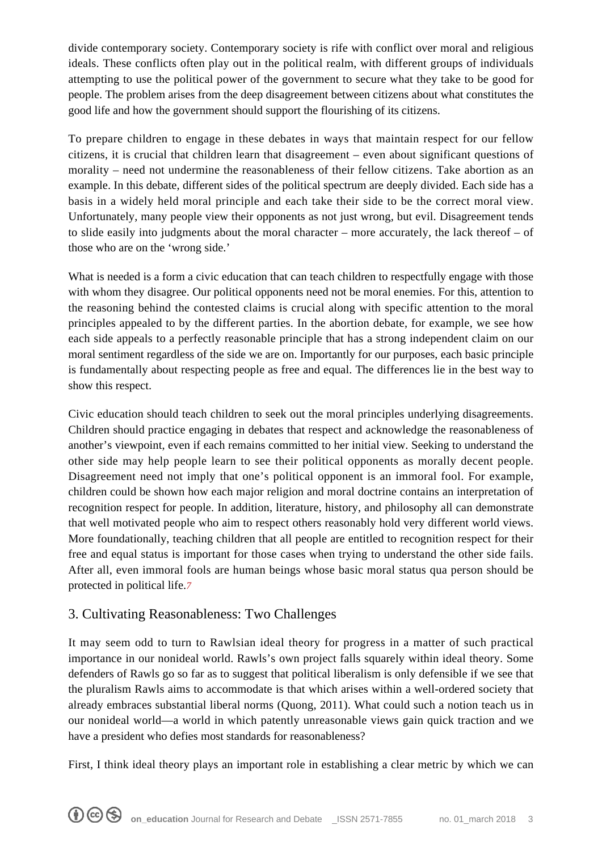divide contemporary society. Contemporary society is rife with conflict over moral and religious ideals. These conflicts often play out in the political realm, with different groups of individuals attempting to use the political power of the government to secure what they take to be good for people. The problem arises from the deep disagreement between citizens about what constitutes the good life and how the government should support the flourishing of its citizens.

To prepare children to engage in these debates in ways that maintain respect for our fellow citizens, it is crucial that children learn that disagreement – even about significant questions of morality – need not undermine the reasonableness of their fellow citizens. Take abortion as an example. In this debate, different sides of the political spectrum are deeply divided. Each side has a basis in a widely held moral principle and each take their side to be the correct moral view. Unfortunately, many people view their opponents as not just wrong, but evil. Disagreement tends to slide easily into judgments about the moral character – more accurately, the lack thereof – of those who are on the 'wrong side.'

What is needed is a form a civic education that can teach children to respectfully engage with those with whom they disagree. Our political opponents need not be moral enemies. For this, attention to the reasoning behind the contested claims is crucial along with specific attention to the moral principles appealed to by the different parties. In the abortion debate, for example, we see how each side appeals to a perfectly reasonable principle that has a strong independent claim on our moral sentiment regardless of the side we are on. Importantly for our purposes, each basic principle is fundamentally about respecting people as free and equal. The differences lie in the best way to show this respect.

Civic education should teach children to seek out the moral principles underlying disagreements. Children should practice engaging in debates that respect and acknowledge the reasonableness of another's viewpoint, even if each remains committed to her initial view. Seeking to understand the other side may help people learn to see their political opponents as morally decent people. Disagreement need not imply that one's political opponent is an immoral fool. For example, children could be shown how each major religion and moral doctrine contains an interpretation of recognition respect for people. In addition, literature, history, and philosophy all can demonstrate that well motivated people who aim to respect others reasonably hold very different world views. More foundationally, teaching children that all people are entitled to recognition respect for their free and equal status is important for those cases when trying to understand the other side fails. After all, even immoral fools are human beings whose basic moral status qua person should be protected in political life.*[7](#page--1-0)*

### 3. Cultivating Reasonableness: Two Challenges

It may seem odd to turn to Rawlsian ideal theory for progress in a matter of such practical importance in our nonideal world. Rawls's own project falls squarely within ideal theory. Some defenders of Rawls go so far as to suggest that political liberalism is only defensible if we see that the pluralism Rawls aims to accommodate is that which arises within a well-ordered society that already embraces substantial liberal norms (Quong, 2011). What could such a notion teach us in our nonideal world—a world in which patently unreasonable views gain quick traction and we have a president who defies most standards for reasonableness?

First, I think ideal theory plays an important role in establishing a clear metric by which we can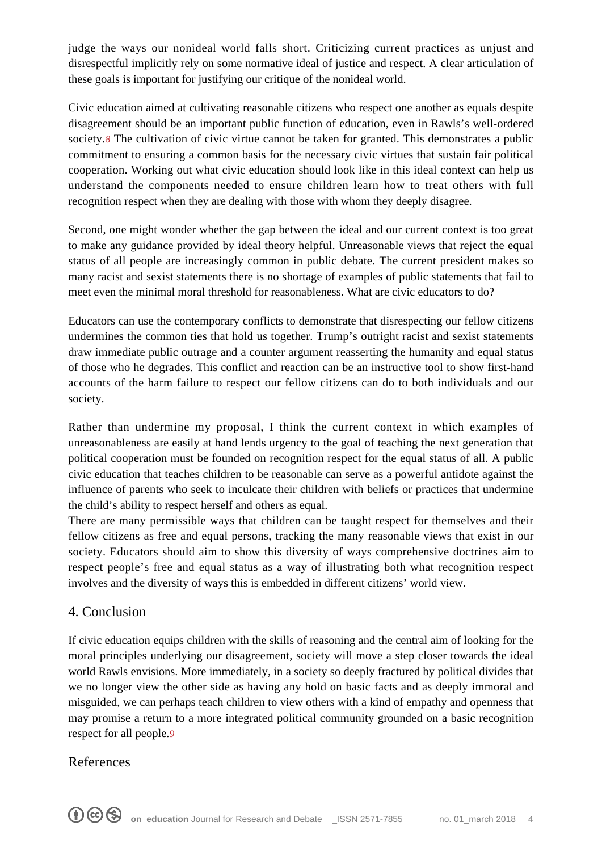judge the ways our nonideal world falls short. Criticizing current practices as unjust and disrespectful implicitly rely on some normative ideal of justice and respect. A clear articulation of these goals is important for justifying our critique of the nonideal world.

Civic education aimed at cultivating reasonable citizens who respect one another as equals despite disagreement should be an important public function of education, even in Rawls's well-ordered society.<sup>[8](#page--1-0)</sup> The cultivation of civic virtue cannot be taken for granted. This demonstrates a public commitment to ensuring a common basis for the necessary civic virtues that sustain fair political cooperation. Working out what civic education should look like in this ideal context can help us understand the components needed to ensure children learn how to treat others with full recognition respect when they are dealing with those with whom they deeply disagree.

Second, one might wonder whether the gap between the ideal and our current context is too great to make any guidance provided by ideal theory helpful. Unreasonable views that reject the equal status of all people are increasingly common in public debate. The current president makes so many racist and sexist statements there is no shortage of examples of public statements that fail to meet even the minimal moral threshold for reasonableness. What are civic educators to do?

Educators can use the contemporary conflicts to demonstrate that disrespecting our fellow citizens undermines the common ties that hold us together. Trump's outright racist and sexist statements draw immediate public outrage and a counter argument reasserting the humanity and equal status of those who he degrades. This conflict and reaction can be an instructive tool to show first-hand accounts of the harm failure to respect our fellow citizens can do to both individuals and our society.

Rather than undermine my proposal, I think the current context in which examples of unreasonableness are easily at hand lends urgency to the goal of teaching the next generation that political cooperation must be founded on recognition respect for the equal status of all. A public civic education that teaches children to be reasonable can serve as a powerful antidote against the influence of parents who seek to inculcate their children with beliefs or practices that undermine the child's ability to respect herself and others as equal.

There are many permissible ways that children can be taught respect for themselves and their fellow citizens as free and equal persons, tracking the many reasonable views that exist in our society. Educators should aim to show this diversity of ways comprehensive doctrines aim to respect people's free and equal status as a way of illustrating both what recognition respect involves and the diversity of ways this is embedded in different citizens' world view.

### 4. Conclusion

If civic education equips children with the skills of reasoning and the central aim of looking for the moral principles underlying our disagreement, society will move a step closer towards the ideal world Rawls envisions. More immediately, in a society so deeply fractured by political divides that we no longer view the other side as having any hold on basic facts and as deeply immoral and misguided, we can perhaps teach children to view others with a kind of empathy and openness that may promise a return to a more integrated political community grounded on a basic recognition respect for all people.*[9](#page--1-0)*

### References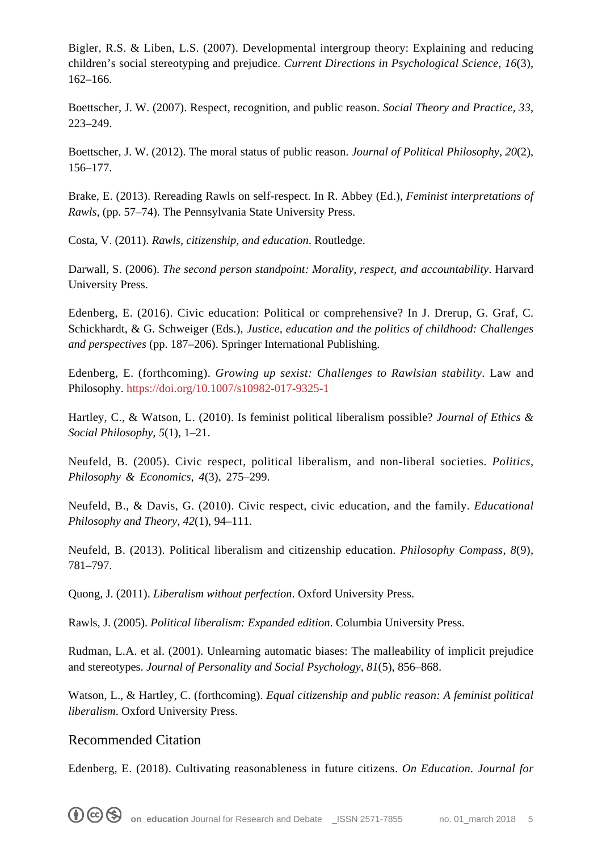Bigler, R.S. & Liben, L.S. (2007). Developmental intergroup theory: Explaining and reducing children's social stereotyping and prejudice. *Current Directions in Psychological Science, 16*(3), 162–166.

Boettscher, J. W. (2007). Respect, recognition, and public reason. *Social Theory and Practice, 33*, 223–249.

Boettscher, J. W. (2012). The moral status of public reason. *Journal of Political Philosophy, 20*(2), 156–177.

Brake, E. (2013). Rereading Rawls on self-respect. In R. Abbey (Ed.), *Feminist interpretations of Rawls*, (pp. 57–74). The Pennsylvania State University Press.

Costa, V. (2011). *Rawls, citizenship, and education*. Routledge.

Darwall, S. (2006). *The second person standpoint: Morality, respect, and accountability*. Harvard University Press.

Edenberg, E. (2016). Civic education: Political or comprehensive? In J. Drerup, G. Graf, C. Schickhardt, & G. Schweiger (Eds.), *Justice, education and the politics of childhood: Challenges and perspectives* (pp. 187–206). Springer International Publishing.

Edenberg, E. (forthcoming). *Growing up sexist: Challenges to Rawlsian stability*. Law and Philosophy.<https://doi.org/10.1007/s10982-017-9325-1>

Hartley, C., & Watson, L. (2010). Is feminist political liberalism possible? *Journal of Ethics & Social Philosophy, 5*(1), 1–21.

Neufeld, B. (2005). Civic respect, political liberalism, and non-liberal societies. *Politics, Philosophy & Economics, 4*(3), 275–299.

Neufeld, B., & Davis, G. (2010). Civic respect, civic education, and the family. *Educational Philosophy and Theory, 42*(1), 94–111.

Neufeld, B. (2013). Political liberalism and citizenship education. *Philosophy Compass, 8*(9), 781–797.

Quong, J. (2011). *Liberalism without perfection*. Oxford University Press.

Rawls, J. (2005). *Political liberalism: Expanded edition*. Columbia University Press.

Rudman, L.A. et al. (2001). Unlearning automatic biases: The malleability of implicit prejudice and stereotypes. *Journal of Personality and Social Psychology, 81*(5), 856–868.

Watson, L., & Hartley, C. (forthcoming). *Equal citizenship and public reason: A feminist political liberalism*. Oxford University Press.

#### Recommended Citation

Edenberg, E. (2018). Cultivating reasonableness in future citizens. *On Education. Journal for*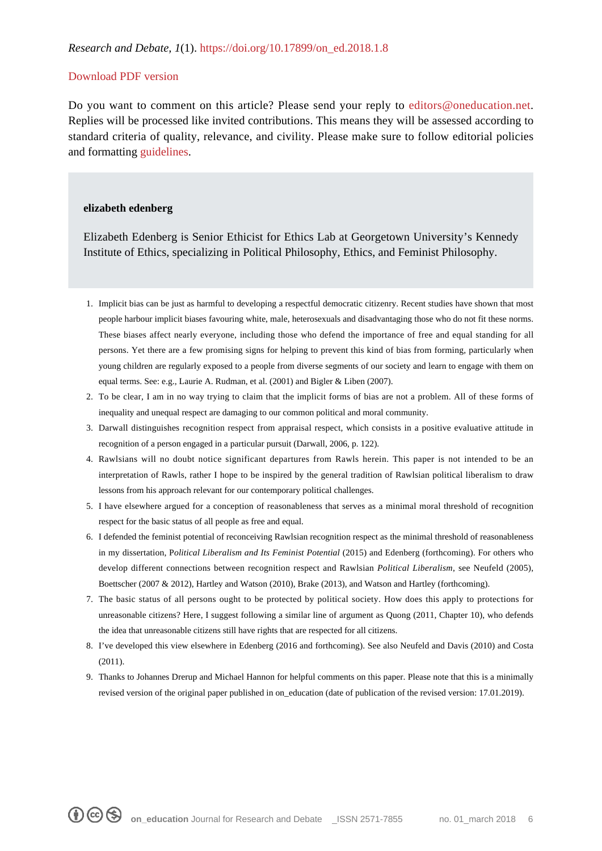#### [Download PDF version](https://www.oneducation.net/wp-content/uploads/2019/01/Edenberg_Revised-Final-1-17-19.pdf)

Do you want to comment on this article? Please send your reply to [editors@oneducation.net.](mailto:editors@oneducation.net) Replies will be processed like invited contributions. This means they will be assessed according to standard criteria of quality, relevance, and civility. Please make sure to follow editorial policies and formatting [guidelines](https://www.oneducation.net/wp-content/uploads/2018/04/On_Education_Guidelines.pdf).

#### **elizabeth edenberg**

Elizabeth Edenberg is Senior Ethicist for Ethics Lab at Georgetown University's Kennedy Institute of Ethics, specializing in Political Philosophy, Ethics, and Feminist Philosophy.

- 1. Implicit bias can be just as harmful to developing a respectful democratic citizenry. Recent studies have shown that most people harbour implicit biases favouring white, male, heterosexuals and disadvantaging those who do not fit these norms. These biases affect nearly everyone, including those who defend the importance of free and equal standing for all persons. Yet there are a few promising signs for helping to prevent this kind of bias from forming, particularly when young children are regularly exposed to a people from diverse segments of our society and learn to engage with them on equal terms. See: e.g., Laurie A. Rudman, et al. (2001) and Bigler & Liben (2007).
- 2. To be clear, I am in no way trying to claim that the implicit forms of bias are not a problem. All of these forms of inequality and unequal respect are damaging to our common political and moral community.
- 3. Darwall distinguishes recognition respect from appraisal respect, which consists in a positive evaluative attitude in recognition of a person engaged in a particular pursuit (Darwall, 2006, p. 122).
- 4. Rawlsians will no doubt notice significant departures from Rawls herein. This paper is not intended to be an interpretation of Rawls, rather I hope to be inspired by the general tradition of Rawlsian political liberalism to draw lessons from his approach relevant for our contemporary political challenges.
- 5. I have elsewhere argued for a conception of reasonableness that serves as a minimal moral threshold of recognition respect for the basic status of all people as free and equal.
- 6. I defended the feminist potential of reconceiving Rawlsian recognition respect as the minimal threshold of reasonableness in my dissertation, P*olitical Liberalism and Its Feminist Potential* (2015) and Edenberg (forthcoming). For others who develop different connections between recognition respect and Rawlsian *Political Liberalism*, see Neufeld (2005), Boettscher (2007 & 2012), Hartley and Watson (2010), Brake (2013), and Watson and Hartley (forthcoming).
- 7. The basic status of all persons ought to be protected by political society. How does this apply to protections for unreasonable citizens? Here, I suggest following a similar line of argument as Quong (2011, Chapter 10), who defends the idea that unreasonable citizens still have rights that are respected for all citizens.
- 8. I've developed this view elsewhere in Edenberg (2016 and forthcoming). See also Neufeld and Davis (2010) and Costa (2011).
- 9. Thanks to Johannes Drerup and Michael Hannon for helpful comments on this paper. Please note that this is a minimally revised version of the original paper published in on\_education (date of publication of the revised version: 17.01.2019).